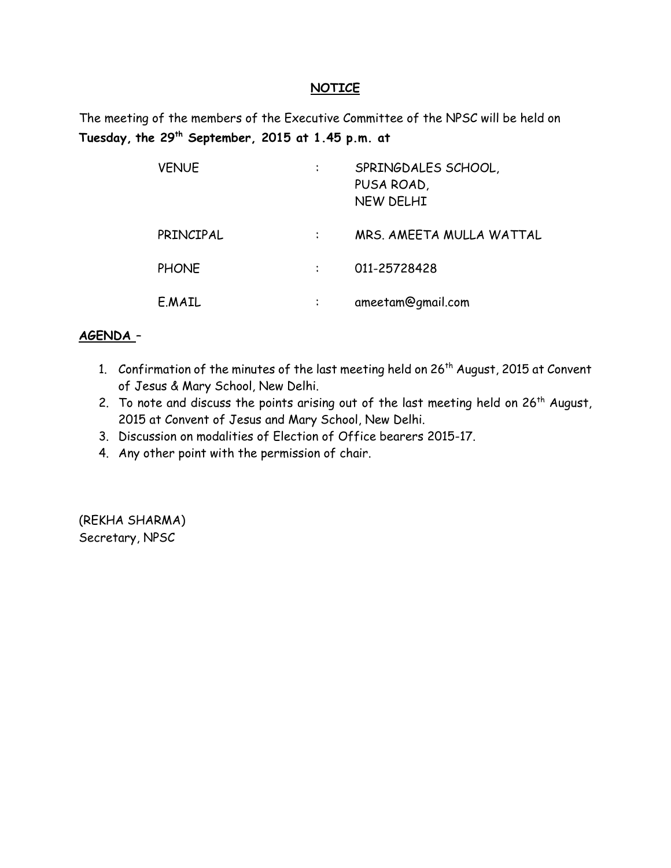#### **NOTICE**

The meeting of the members of the Executive Committee of the NPSC will be held on **Tuesday, the 29th September, 2015 at 1.45 p.m. at** 

| <b>VENUE</b> | $\bullet$ | SPRINGDALES SCHOOL,<br>PUSA ROAD,<br><b>NEW DELHI</b> |
|--------------|-----------|-------------------------------------------------------|
| PRINCIPAL    |           | MRS. AMEETA MULLA WATTAL                              |
| <b>PHONE</b> |           | 011-25728428                                          |
| E.MAIL       |           | ameetam@gmail.com                                     |

### **AGENDA** –

- 1. Confirmation of the minutes of the last meeting held on 26<sup>th</sup> August, 2015 at Convent of Jesus & Mary School, New Delhi.
- 2. To note and discuss the points arising out of the last meeting held on  $26<sup>th</sup>$  August, 2015 at Convent of Jesus and Mary School, New Delhi.
- 3. Discussion on modalities of Election of Office bearers 2015-17.
- 4. Any other point with the permission of chair.

(REKHA SHARMA) Secretary, NPSC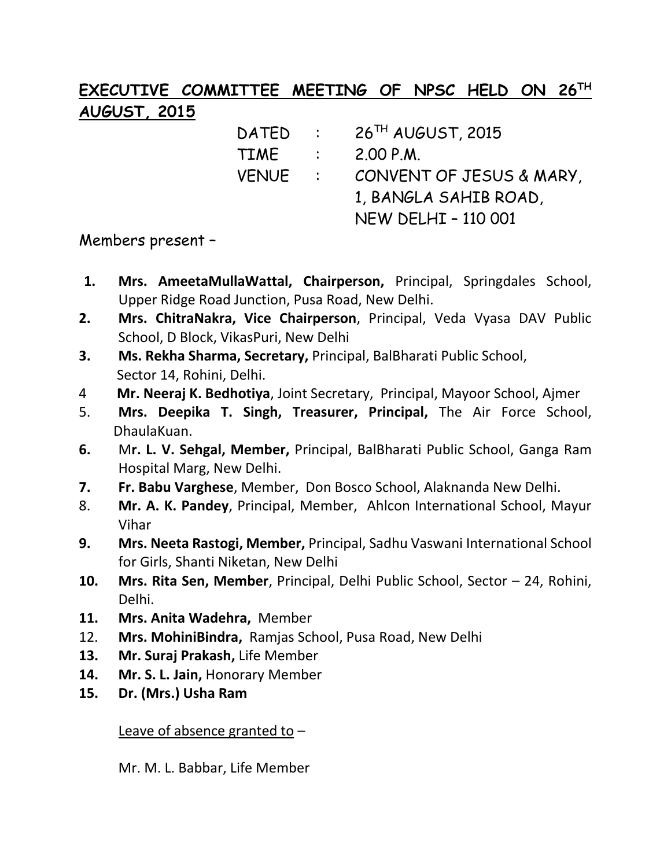# **EXECUTIVE COMMITTEE MEETING OF NPSC HELD ON 26TH AUGUST, 2015**

DATED : 26<sup>TH</sup> AUGUST, 2015 TIME : 2.00 P.M. VENUE : CONVENT OF JESUS & MARY, 1, BANGLA SAHIB ROAD, NEW DELHI – 110 001

### Members present –

- **1. Mrs. AmeetaMullaWattal, Chairperson,** Principal, Springdales School, Upper Ridge Road Junction, Pusa Road, New Delhi.
- **2. Mrs. ChitraNakra, Vice Chairperson**, Principal, Veda Vyasa DAV Public School, D Block, VikasPuri, New Delhi
- **3. Ms. Rekha Sharma, Secretary,** Principal, BalBharati Public School, Sector 14, Rohini, Delhi.
- 4 **Mr. Neeraj K. Bedhotiya**, Joint Secretary, Principal, Mayoor School, Ajmer
- 5. **Mrs. Deepika T. Singh, Treasurer, Principal,** The Air Force School, DhaulaKuan.
- **6.** M**r. L. V. Sehgal, Member,** Principal, BalBharati Public School, Ganga Ram Hospital Marg, New Delhi.
- **7. Fr. Babu Varghese**, Member, Don Bosco School, Alaknanda New Delhi.
- 8. **Mr. A. K. Pandey**, Principal, Member, Ahlcon International School, Mayur Vihar
- **9. Mrs. Neeta Rastogi, Member,** Principal, Sadhu Vaswani International School for Girls, Shanti Niketan, New Delhi
- **10. Mrs. Rita Sen, Member**, Principal, Delhi Public School, Sector 24, Rohini, Delhi.
- **11. Mrs. Anita Wadehra,** Member
- 12. **Mrs. MohiniBindra,** Ramjas School, Pusa Road, New Delhi
- **13. Mr. Suraj Prakash,** Life Member
- **14. Mr. S. L. Jain,** Honorary Member
- **15. Dr. (Mrs.) Usha Ram**

Leave of absence granted to –

Mr. M. L. Babbar, Life Member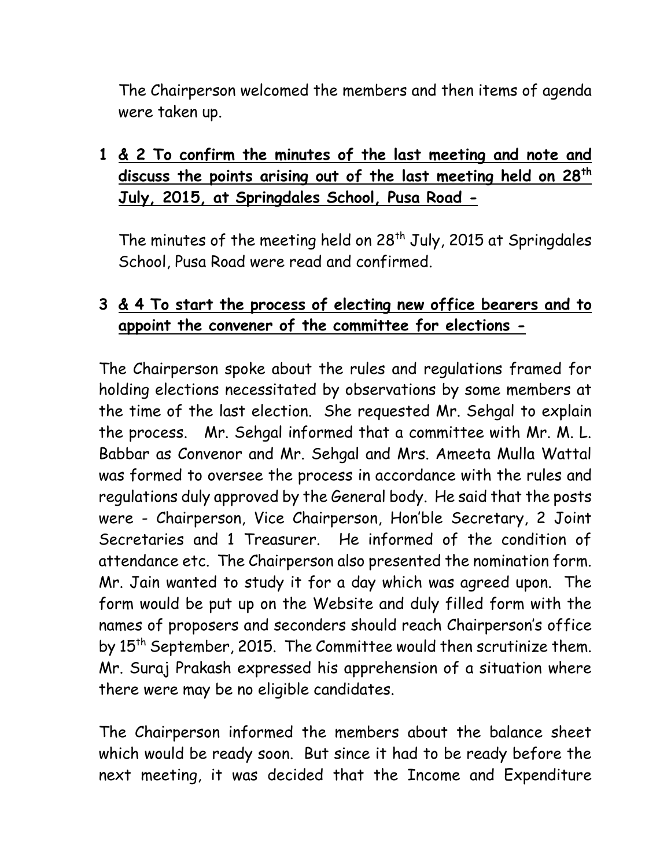The Chairperson welcomed the members and then items of agenda were taken up.

# **1 & 2 To confirm the minutes of the last meeting and note and discuss the points arising out of the last meeting held on 28th July, 2015, at Springdales School, Pusa Road -**

The minutes of the meeting held on  $28<sup>th</sup>$  July, 2015 at Springdales School, Pusa Road were read and confirmed.

## **3 & 4 To start the process of electing new office bearers and to appoint the convener of the committee for elections -**

The Chairperson spoke about the rules and regulations framed for holding elections necessitated by observations by some members at the time of the last election. She requested Mr. Sehgal to explain the process. Mr. Sehgal informed that a committee with Mr. M. L. Babbar as Convenor and Mr. Sehgal and Mrs. Ameeta Mulla Wattal was formed to oversee the process in accordance with the rules and regulations duly approved by the General body. He said that the posts were - Chairperson, Vice Chairperson, Hon'ble Secretary, 2 Joint Secretaries and 1 Treasurer. He informed of the condition of attendance etc. The Chairperson also presented the nomination form. Mr. Jain wanted to study it for a day which was agreed upon. The form would be put up on the Website and duly filled form with the names of proposers and seconders should reach Chairperson's office by 15<sup>th</sup> September, 2015. The Committee would then scrutinize them. Mr. Suraj Prakash expressed his apprehension of a situation where there were may be no eligible candidates.

The Chairperson informed the members about the balance sheet which would be ready soon. But since it had to be ready before the next meeting, it was decided that the Income and Expenditure